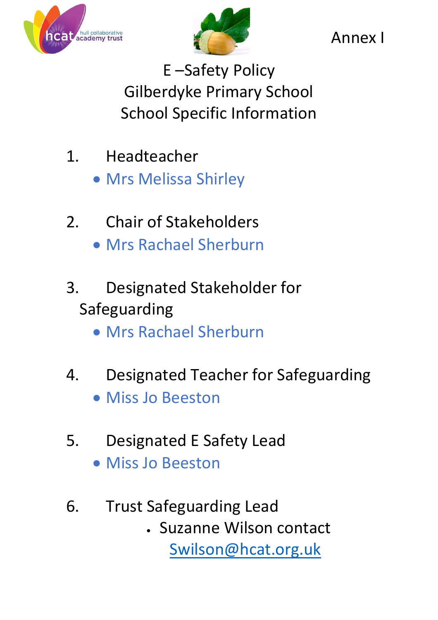



Annex I

E –Safety Policy Gilberdyke Primary School School Specific Information

- 1. Headteacher
	- Mrs Melissa Shirley
- 2. Chair of Stakeholders Mrs Rachael Sherburn
- 3. Designated Stakeholder for Safeguarding
	- Mrs Rachael Sherburn
- 4. Designated Teacher for Safeguarding
	- Miss Jo Beeston
- 5. Designated E Safety Lead
	- Miss Jo Beeston
- 6. Trust Safeguarding Lead
	- Suzanne Wilson contact [Swilson@hcat.org.uk](mailto:Swilson@hcat.org.uk)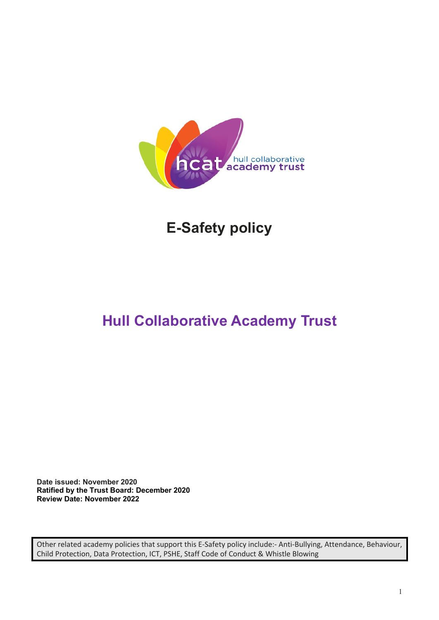

# **E-Safety policy**

# **Hull Collaborative Academy Trust**

**Date issued: November 2020 Ratified by the Trust Board: December 2020 Review Date: November 2022**

Other related academy policies that support this E-Safety policy include:- Anti-Bullying, Attendance, Behaviour, Child Protection, Data Protection, ICT, PSHE, Staff Code of Conduct & Whistle Blowing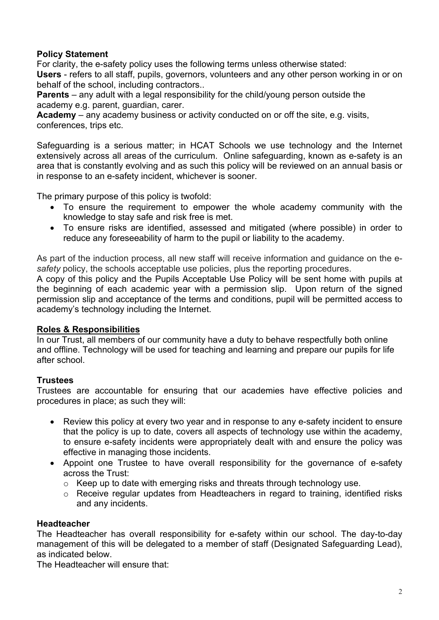#### **Policy Statement**

For clarity, the e-safety policy uses the following terms unless otherwise stated: **Users** - refers to all staff, pupils, governors, volunteers and any other person working in or on behalf of the school, including contractors..

**Parents** – any adult with a legal responsibility for the child/young person outside the academy e.g. parent, guardian, carer.

**Academy** – any academy business or activity conducted on or off the site, e.g. visits, conferences, trips etc.

Safeguarding is a serious matter; in HCAT Schools we use technology and the Internet extensively across all areas of the curriculum. Online safeguarding, known as e-safety is an area that is constantly evolving and as such this policy will be reviewed on an annual basis or in response to an e-safety incident, whichever is sooner.

The primary purpose of this policy is twofold:

- To ensure the requirement to empower the whole academy community with the knowledge to stay safe and risk free is met.
- To ensure risks are identified, assessed and mitigated (where possible) in order to reduce any foreseeability of harm to the pupil or liability to the academy.

As part of the induction process, all new staff will receive information and guidance on the e*safety* policy, the schools acceptable use policies, plus the reporting procedures.

A copy of this policy and the Pupils Acceptable Use Policy will be sent home with pupils at the beginning of each academic year with a permission slip. Upon return of the signed permission slip and acceptance of the terms and conditions, pupil will be permitted access to academy's technology including the Internet.

#### **Roles & Responsibilities**

In our Trust, all members of our community have a duty to behave respectfully both online and offline. Technology will be used for teaching and learning and prepare our pupils for life after school.

#### **Trustees**

Trustees are accountable for ensuring that our academies have effective policies and procedures in place; as such they will:

- Review this policy at every two year and in response to any e-safety incident to ensure that the policy is up to date, covers all aspects of technology use within the academy, to ensure e-safety incidents were appropriately dealt with and ensure the policy was effective in managing those incidents.
- Appoint one Trustee to have overall responsibility for the governance of e-safety across the Trust:
	- o Keep up to date with emerging risks and threats through technology use.
	- o Receive regular updates from Headteachers in regard to training, identified risks and any incidents.

#### **Headteacher**

The Headteacher has overall responsibility for e-safety within our school. The day-to-day management of this will be delegated to a member of staff (Designated Safeguarding Lead), as indicated below.

The Headteacher will ensure that: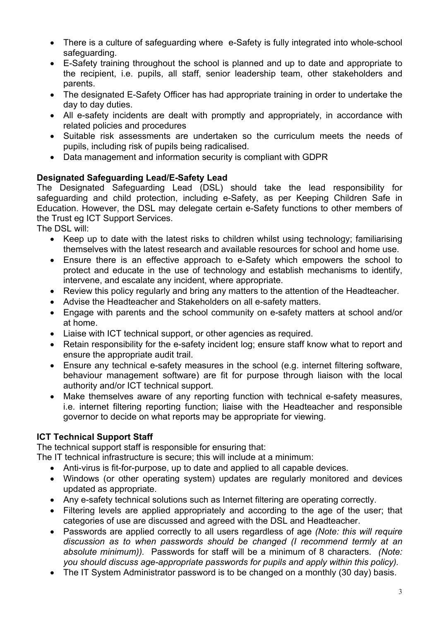- There is a culture of safeguarding where e-Safety is fully integrated into whole-school safeguarding.
- E-Safety training throughout the school is planned and up to date and appropriate to the recipient, i.e. pupils, all staff, senior leadership team, other stakeholders and parents.
- The designated E-Safety Officer has had appropriate training in order to undertake the day to day duties.
- All e-safety incidents are dealt with promptly and appropriately, in accordance with related policies and procedures
- Suitable risk assessments are undertaken so the curriculum meets the needs of pupils, including risk of pupils being radicalised.
- Data management and information security is compliant with GDPR

### **Designated Safeguarding Lead/E-Safety Lead**

The Designated Safeguarding Lead (DSL) should take the lead responsibility for safeguarding and child protection, including e-Safety, as per Keeping Children Safe in Education. However, the DSL may delegate certain e-Safety functions to other members of the Trust eg ICT Support Services.

The DSL will:

- Keep up to date with the latest risks to children whilst using technology; familiarising themselves with the latest research and available resources for school and home use.
- Ensure there is an effective approach to e-Safety which empowers the school to protect and educate in the use of technology and establish mechanisms to identify, intervene, and escalate any incident, where appropriate.
- Review this policy regularly and bring any matters to the attention of the Headteacher.
- Advise the Headteacher and Stakeholders on all e-safety matters.
- Engage with parents and the school community on e-safety matters at school and/or at home.
- Liaise with ICT technical support, or other agencies as required.
- Retain responsibility for the e-safety incident log; ensure staff know what to report and ensure the appropriate audit trail.
- Ensure any technical e-safety measures in the school (e.g. internet filtering software, behaviour management software) are fit for purpose through liaison with the local authority and/or ICT technical support.
- Make themselves aware of any reporting function with technical e-safety measures, i.e. internet filtering reporting function; liaise with the Headteacher and responsible governor to decide on what reports may be appropriate for viewing.

### **ICT Technical Support Staff**

The technical support staff is responsible for ensuring that:

The IT technical infrastructure is secure; this will include at a minimum:

- Anti-virus is fit-for-purpose, up to date and applied to all capable devices.
- Windows (or other operating system) updates are regularly monitored and devices updated as appropriate.
- Any e-safety technical solutions such as Internet filtering are operating correctly.
- Filtering levels are applied appropriately and according to the age of the user; that categories of use are discussed and agreed with the DSL and Headteacher.
- Passwords are applied correctly to all users regardless of age *(Note: this will require discussion as to when passwords should be changed (I recommend termly at an absolute minimum)).* Passwords for staff will be a minimum of 8 characters. *(Note: you should discuss age-appropriate passwords for pupils and apply within this policy).*
- The IT System Administrator password is to be changed on a monthly (30 day) basis.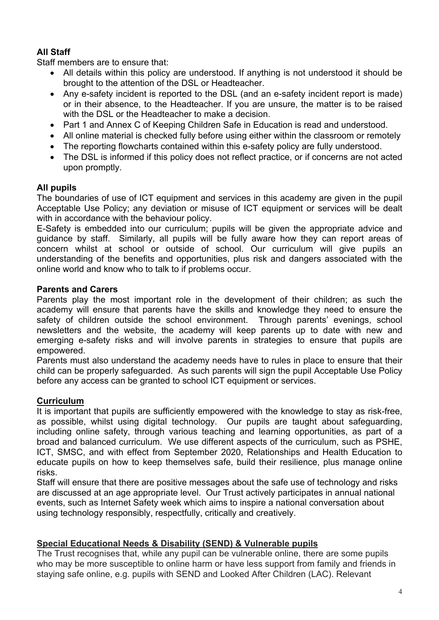### **All Staff**

Staff members are to ensure that:

- All details within this policy are understood. If anything is not understood it should be brought to the attention of the DSL or Headteacher.
- Any e-safety incident is reported to the DSL (and an e-safety incident report is made) or in their absence, to the Headteacher. If you are unsure, the matter is to be raised with the DSL or the Headteacher to make a decision.
- Part 1 and Annex C of Keeping Children Safe in Education is read and understood.
- All online material is checked fully before using either within the classroom or remotely
- The reporting flowcharts contained within this e-safety policy are fully understood.
- The DSL is informed if this policy does not reflect practice, or if concerns are not acted upon promptly.

#### **All pupils**

The boundaries of use of ICT equipment and services in this academy are given in the pupil Acceptable Use Policy; any deviation or misuse of ICT equipment or services will be dealt with in accordance with the behaviour policy.

E-Safety is embedded into our curriculum; pupils will be given the appropriate advice and guidance by staff. Similarly, all pupils will be fully aware how they can report areas of concern whilst at school or outside of school. Our curriculum will give pupils an understanding of the benefits and opportunities, plus risk and dangers associated with the online world and know who to talk to if problems occur.

#### **Parents and Carers**

Parents play the most important role in the development of their children; as such the academy will ensure that parents have the skills and knowledge they need to ensure the safety of children outside the school environment. Through parents' evenings, school newsletters and the website, the academy will keep parents up to date with new and emerging e-safety risks and will involve parents in strategies to ensure that pupils are empowered.

Parents must also understand the academy needs have to rules in place to ensure that their child can be properly safeguarded. As such parents will sign the pupil Acceptable Use Policy before any access can be granted to school ICT equipment or services.

#### **Curriculum**

It is important that pupils are sufficiently empowered with the knowledge to stay as risk-free, as possible, whilst using digital technology. Our pupils are taught about safeguarding, including online safety, through various teaching and learning opportunities, as part of a broad and balanced curriculum. We use different aspects of the curriculum, such as PSHE, ICT, SMSC, and with effect from September 2020, Relationships and Health Education to educate pupils on how to keep themselves safe, build their resilience, plus manage online risks.

Staff will ensure that there are positive messages about the safe use of technology and risks are discussed at an age appropriate level. Our Trust actively participates in annual national events, such as Internet Safety week which aims to inspire a national conversation about using technology responsibly, respectfully, critically and creatively.

#### **Special Educational Needs & Disability (SEND) & Vulnerable pupils**

The Trust recognises that, while any pupil can be vulnerable online, there are some pupils who may be more susceptible to online harm or have less support from family and friends in staying safe online, e.g. pupils with SEND and Looked After Children (LAC). Relevant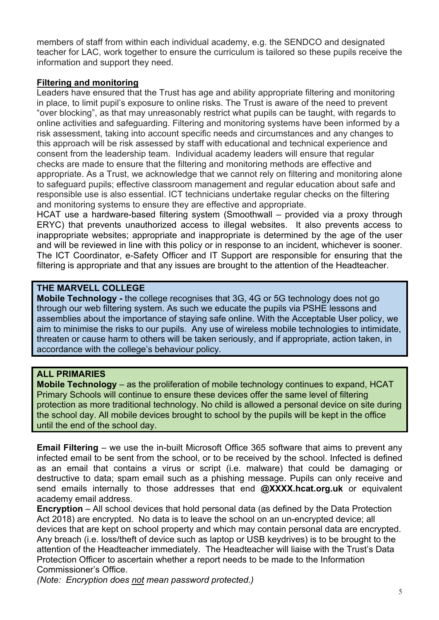members of staff from within each individual academy, e.g. the SENDCO and designated teacher for LAC, work together to ensure the curriculum is tailored so these pupils receive the information and support they need.

#### **Filtering and monitoring**

Leaders have ensured that the Trust has age and ability appropriate filtering and monitoring in place, to limit pupil's exposure to online risks. The Trust is aware of the need to prevent "over blocking", as that may unreasonably restrict what pupils can be taught, with regards to online activities and safeguarding. Filtering and monitoring systems have been informed by a risk assessment, taking into account specific needs and circumstances and any changes to this approach will be risk assessed by staff with educational and technical experience and consent from the leadership team. Individual academy leaders will ensure that regular checks are made to ensure that the filtering and monitoring methods are effective and appropriate. As a Trust, we acknowledge that we cannot rely on filtering and monitoring alone to safeguard pupils; effective classroom management and regular education about safe and responsible use is also essential. ICT technicians undertake regular checks on the filtering and monitoring systems to ensure they are effective and appropriate.

HCAT use a hardware-based filtering system (Smoothwall – provided via a proxy through ERYC) that prevents unauthorized access to illegal websites. It also prevents access to inappropriate websites; appropriate and inappropriate is determined by the age of the user and will be reviewed in line with this policy or in response to an incident, whichever is sooner. The ICT Coordinator, e-Safety Officer and IT Support are responsible for ensuring that the filtering is appropriate and that any issues are brought to the attention of the Headteacher.

#### **THE MARVELL COLLEGE**

**Mobile Technology -** the college recognises that 3G, 4G or 5G technology does not go through our web filtering system. As such we educate the pupils via PSHE lessons and assemblies about the importance of staying safe online. With the Acceptable User policy, we aim to minimise the risks to our pupils. Any use of wireless mobile technologies to intimidate, threaten or cause harm to others will be taken seriously, and if appropriate, action taken, in accordance with the college's behaviour policy.

#### **ALL PRIMARIES**

**Mobile Technology** – as the proliferation of mobile technology continues to expand, HCAT Primary Schools will continue to ensure these devices offer the same level of filtering protection as more traditional technology. No child is allowed a personal device on site during the school day. All mobile devices brought to school by the pupils will be kept in the office until the end of the school day.

**Email Filtering** – we use the in-built Microsoft Office 365 software that aims to prevent any infected email to be sent from the school, or to be received by the school. Infected is defined as an email that contains a virus or script (i.e. malware) that could be damaging or destructive to data; spam email such as a phishing message. Pupils can only receive and send emails internally to those addresses that end **@XXXX.hcat.org.uk** or equivalent academy email address.

**Encryption** – All school devices that hold personal data (as defined by the Data Protection Act 2018) are encrypted. No data is to leave the school on an un-encrypted device; all devices that are kept on school property and which may contain personal data are encrypted. Any breach (i.e. loss/theft of device such as laptop or USB keydrives) is to be brought to the attention of the Headteacher immediately. The Headteacher will liaise with the Trust's Data Protection Officer to ascertain whether a report needs to be made to the Information Commissioner's Office.

*(Note: Encryption does not mean password protected.)*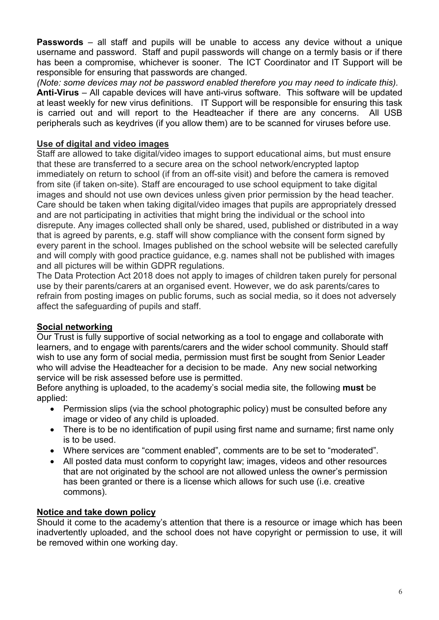**Passwords** – all staff and pupils will be unable to access any device without a unique username and password. Staff and pupil passwords will change on a termly basis or if there has been a compromise, whichever is sooner. The ICT Coordinator and IT Support will be responsible for ensuring that passwords are changed.

*(Note: some devices may not be password enabled therefore you may need to indicate this).* **Anti-Virus** – All capable devices will have anti-virus software. This software will be updated at least weekly for new virus definitions. IT Support will be responsible for ensuring this task is carried out and will report to the Headteacher if there are any concerns. All USB peripherals such as keydrives (if you allow them) are to be scanned for viruses before use.

#### **Use of digital and video images**

Staff are allowed to take digital/video images to support educational aims, but must ensure that these are transferred to a secure area on the school network/encrypted laptop immediately on return to school (if from an off-site visit) and before the camera is removed from site (if taken on-site). Staff are encouraged to use school equipment to take digital images and should not use own devices unless given prior permission by the head teacher. Care should be taken when taking digital/video images that pupils are appropriately dressed and are not participating in activities that might bring the individual or the school into disrepute. Any images collected shall only be shared, used, published or distributed in a way that is agreed by parents, e.g. staff will show compliance with the consent form signed by every parent in the school. Images published on the school website will be selected carefully and will comply with good practice guidance, e.g. names shall not be published with images and all pictures will be within GDPR regulations.

The Data Protection Act 2018 does not apply to images of children taken purely for personal use by their parents/carers at an organised event. However, we do ask parents/cares to refrain from posting images on public forums, such as social media, so it does not adversely affect the safeguarding of pupils and staff.

#### **Social networking**

Our Trust is fully supportive of social networking as a tool to engage and collaborate with learners, and to engage with parents/carers and the wider school community. Should staff wish to use any form of social media, permission must first be sought from Senior Leader who will advise the Headteacher for a decision to be made. Any new social networking service will be risk assessed before use is permitted.

Before anything is uploaded, to the academy's social media site, the following **must** be applied:

- Permission slips (via the school photographic policy) must be consulted before any image or video of any child is uploaded.
- There is to be no identification of pupil using first name and surname; first name only is to be used.
- Where services are "comment enabled", comments are to be set to "moderated".
- All posted data must conform to copyright law; images, videos and other resources that are not originated by the school are not allowed unless the owner's permission has been granted or there is a license which allows for such use (i.e. creative commons).

### **Notice and take down policy**

Should it come to the academy's attention that there is a resource or image which has been inadvertently uploaded, and the school does not have copyright or permission to use, it will be removed within one working day.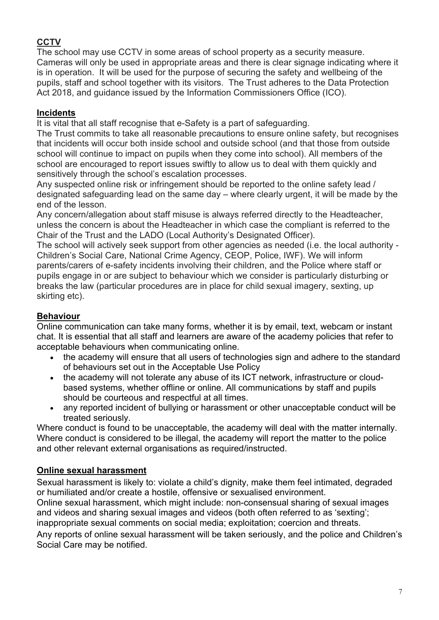### **CCTV**

The school may use CCTV in some areas of school property as a security measure. Cameras will only be used in appropriate areas and there is clear signage indicating where it is in operation. It will be used for the purpose of securing the safety and wellbeing of the pupils, staff and school together with its visitors. The Trust adheres to the Data Protection Act 2018, and guidance issued by the Information Commissioners Office (ICO).

### **Incidents**

It is vital that all staff recognise that e-Safety is a part of safeguarding.

The Trust commits to take all reasonable precautions to ensure online safety, but recognises that incidents will occur both inside school and outside school (and that those from outside school will continue to impact on pupils when they come into school). All members of the school are encouraged to report issues swiftly to allow us to deal with them quickly and sensitively through the school's escalation processes.

Any suspected online risk or infringement should be reported to the online safety lead / designated safeguarding lead on the same day – where clearly urgent, it will be made by the end of the lesson.

Any concern/allegation about staff misuse is always referred directly to the Headteacher, unless the concern is about the Headteacher in which case the compliant is referred to the Chair of the Trust and the LADO (Local Authority's Designated Officer).

The school will actively seek support from other agencies as needed (i.e. the local authority - Children's Social Care, National Crime Agency, CEOP, Police, IWF). We will inform parents/carers of e-safety incidents involving their children, and the Police where staff or pupils engage in or are subject to behaviour which we consider is particularly disturbing or breaks the law (particular procedures are in place for child sexual imagery, sexting, up skirting etc).

### **Behaviour**

Online communication can take many forms, whether it is by email, text, webcam or instant chat. It is essential that all staff and learners are aware of the academy policies that refer to acceptable behaviours when communicating online.

- the academy will ensure that all users of technologies sign and adhere to the standard of behaviours set out in the Acceptable Use Policy
- the academy will not tolerate any abuse of its ICT network, infrastructure or cloudbased systems, whether offline or online. All communications by staff and pupils should be courteous and respectful at all times.
- any reported incident of bullying or harassment or other unacceptable conduct will be treated seriously.

Where conduct is found to be unacceptable, the academy will deal with the matter internally. Where conduct is considered to be illegal, the academy will report the matter to the police and other relevant external organisations as required/instructed.

### **Online sexual harassment**

Sexual harassment is likely to: violate a child's dignity, make them feel intimated, degraded or humiliated and/or create a hostile, offensive or sexualised environment.

Online sexual harassment, which might include: non-consensual sharing of sexual images and videos and sharing sexual images and videos (both often referred to as 'sexting'; inappropriate sexual comments on social media; exploitation; coercion and threats.

Any reports of online sexual harassment will be taken seriously, and the police and Children's Social Care may be notified.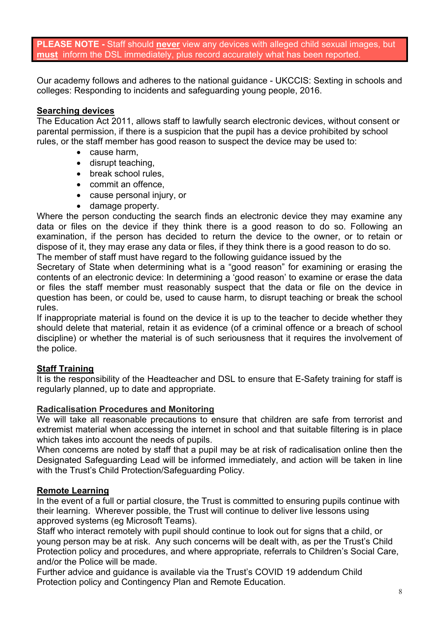**PLEASE NOTE -** Staff should **never** view any devices with alleged child sexual images, but **must** inform the DSL immediately, plus record accurately what has been reported.

Our academy follows and adheres to the national guidance - UKCCIS: Sexting in schools and colleges: Responding to incidents and safeguarding young people, 2016.

#### **Searching devices**

The Education Act 2011, allows staff to lawfully search electronic devices, without consent or parental permission, if there is a suspicion that the pupil has a device prohibited by school rules, or the staff member has good reason to suspect the device may be used to:

- cause harm,
- disrupt teaching,
- break school rules.
- commit an offence,
- cause personal injury, or
- damage property.

Where the person conducting the search finds an electronic device they may examine any data or files on the device if they think there is a good reason to do so. Following an examination, if the person has decided to return the device to the owner, or to retain or dispose of it, they may erase any data or files, if they think there is a good reason to do so.

The member of staff must have regard to the following guidance issued by the

Secretary of State when determining what is a "good reason" for examining or erasing the contents of an electronic device: In determining a 'good reason' to examine or erase the data or files the staff member must reasonably suspect that the data or file on the device in question has been, or could be, used to cause harm, to disrupt teaching or break the school rules.

If inappropriate material is found on the device it is up to the teacher to decide whether they should delete that material, retain it as evidence (of a criminal offence or a breach of school discipline) or whether the material is of such seriousness that it requires the involvement of the police.

### **Staff Training**

It is the responsibility of the Headteacher and DSL to ensure that E-Safety training for staff is regularly planned, up to date and appropriate.

#### **Radicalisation Procedures and Monitoring**

We will take all reasonable precautions to ensure that children are safe from terrorist and extremist material when accessing the internet in school and that suitable filtering is in place which takes into account the needs of pupils.

When concerns are noted by staff that a pupil may be at risk of radicalisation online then the Designated Safeguarding Lead will be informed immediately, and action will be taken in line with the Trust's Child Protection/Safeguarding Policy.

### **Remote Learning**

In the event of a full or partial closure, the Trust is committed to ensuring pupils continue with their learning. Wherever possible, the Trust will continue to deliver live lessons using approved systems (eg Microsoft Teams).

Staff who interact remotely with pupil should continue to look out for signs that a child, or young person may be at risk. Any such concerns will be dealt with, as per the Trust's Child Protection policy and procedures, and where appropriate, referrals to Children's Social Care, and/or the Police will be made.

Further advice and guidance is available via the Trust's COVID 19 addendum Child Protection policy and Contingency Plan and Remote Education.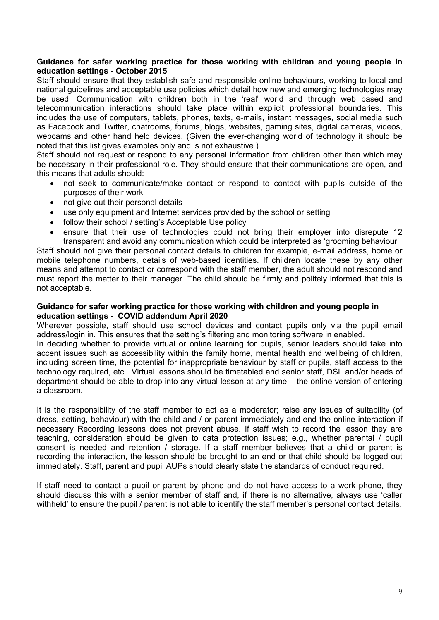#### **Guidance for safer working practice for those working with children and young people in education settings - October 2015**

Staff should ensure that they establish safe and responsible online behaviours, working to local and national guidelines and acceptable use policies which detail how new and emerging technologies may be used. Communication with children both in the 'real' world and through web based and telecommunication interactions should take place within explicit professional boundaries. This includes the use of computers, tablets, phones, texts, e-mails, instant messages, social media such as Facebook and Twitter, chatrooms, forums, blogs, websites, gaming sites, digital cameras, videos, webcams and other hand held devices. (Given the ever-changing world of technology it should be noted that this list gives examples only and is not exhaustive.)

Staff should not request or respond to any personal information from children other than which may be necessary in their professional role. They should ensure that their communications are open, and this means that adults should:

- not seek to communicate/make contact or respond to contact with pupils outside of the purposes of their work
- not give out their personal details
- use only equipment and Internet services provided by the school or setting
- follow their school / setting's Acceptable Use policy
- ensure that their use of technologies could not bring their employer into disrepute 12 transparent and avoid any communication which could be interpreted as 'grooming behaviour'

Staff should not give their personal contact details to children for example, e-mail address, home or mobile telephone numbers, details of web-based identities. If children locate these by any other means and attempt to contact or correspond with the staff member, the adult should not respond and must report the matter to their manager. The child should be firmly and politely informed that this is not acceptable.

#### **Guidance for safer working practice for those working with children and young people in education settings - COVID addendum April 2020**

Wherever possible, staff should use school devices and contact pupils only via the pupil email address/login in. This ensures that the setting's filtering and monitoring software in enabled. In deciding whether to provide virtual or online learning for pupils, senior leaders should take into accent issues such as accessibility within the family home, mental health and wellbeing of children, including screen time, the potential for inappropriate behaviour by staff or pupils, staff access to the technology required, etc. Virtual lessons should be timetabled and senior staff, DSL and/or heads of department should be able to drop into any virtual lesson at any time – the online version of entering a classroom.

It is the responsibility of the staff member to act as a moderator; raise any issues of suitability (of dress, setting, behaviour) with the child and / or parent immediately and end the online interaction if necessary Recording lessons does not prevent abuse. If staff wish to record the lesson they are teaching, consideration should be given to data protection issues; e.g., whether parental / pupil consent is needed and retention / storage. If a staff member believes that a child or parent is recording the interaction, the lesson should be brought to an end or that child should be logged out immediately. Staff, parent and pupil AUPs should clearly state the standards of conduct required.

If staff need to contact a pupil or parent by phone and do not have access to a work phone, they should discuss this with a senior member of staff and, if there is no alternative, always use 'caller withheld' to ensure the pupil / parent is not able to identify the staff member's personal contact details.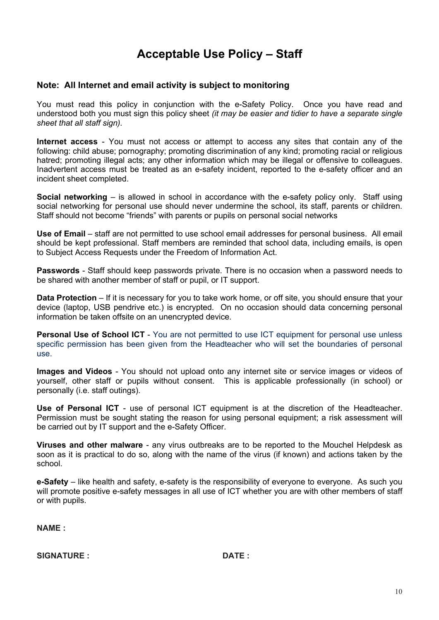# **Acceptable Use Policy – Staff**

#### **Note: All Internet and email activity is subject to monitoring**

You must read this policy in conjunction with the e-Safety Policy. Once you have read and understood both you must sign this policy sheet *(it may be easier and tidier to have a separate single sheet that all staff sign).*

**Internet access** - You must not access or attempt to access any sites that contain any of the following: child abuse; pornography; promoting discrimination of any kind; promoting racial or religious hatred; promoting illegal acts; any other information which may be illegal or offensive to colleagues. Inadvertent access must be treated as an e-safety incident, reported to the e-safety officer and an incident sheet completed.

**Social networking** – is allowed in school in accordance with the e-safety policy only. Staff using social networking for personal use should never undermine the school, its staff, parents or children. Staff should not become "friends" with parents or pupils on personal social networks

**Use of Email** – staff are not permitted to use school email addresses for personal business. All email should be kept professional. Staff members are reminded that school data, including emails, is open to Subject Access Requests under the Freedom of Information Act.

**Passwords** - Staff should keep passwords private. There is no occasion when a password needs to be shared with another member of staff or pupil, or IT support.

**Data Protection** – If it is necessary for you to take work home, or off site, you should ensure that your device (laptop, USB pendrive etc.) is encrypted. On no occasion should data concerning personal information be taken offsite on an unencrypted device.

**Personal Use of School ICT** - You are not permitted to use ICT equipment for personal use unless specific permission has been given from the Headteacher who will set the boundaries of personal use.

**Images and Videos** - You should not upload onto any internet site or service images or videos of yourself, other staff or pupils without consent. This is applicable professionally (in school) or personally (i.e. staff outings).

**Use of Personal ICT** - use of personal ICT equipment is at the discretion of the Headteacher. Permission must be sought stating the reason for using personal equipment; a risk assessment will be carried out by IT support and the e-Safety Officer.

**Viruses and other malware** - any virus outbreaks are to be reported to the Mouchel Helpdesk as soon as it is practical to do so, along with the name of the virus (if known) and actions taken by the school.

**e-Safety** – like health and safety, e-safety is the responsibility of everyone to everyone. As such you will promote positive e-safety messages in all use of ICT whether you are with other members of staff or with pupils.

**NAME :**

**SIGNATURE : DATE :**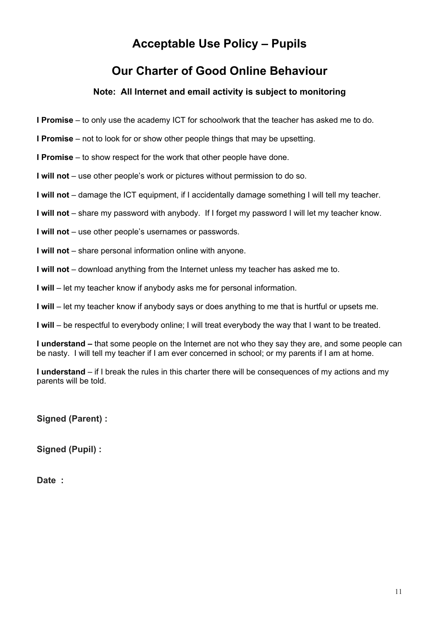# **Acceptable Use Policy – Pupils**

## **Our Charter of Good Online Behaviour**

#### **Note: All Internet and email activity is subject to monitoring**

**I Promise** – to only use the academy ICT for schoolwork that the teacher has asked me to do.

**I Promise** – not to look for or show other people things that may be upsetting.

**I Promise** – to show respect for the work that other people have done.

**I will not** – use other people's work or pictures without permission to do so.

**I will not** – damage the ICT equipment, if I accidentally damage something I will tell my teacher.

**I will not** – share my password with anybody. If I forget my password I will let my teacher know.

**I will not** – use other people's usernames or passwords.

**I will not** – share personal information online with anyone.

**I will not** – download anything from the Internet unless my teacher has asked me to.

**I will** – let my teacher know if anybody asks me for personal information.

**I will** – let my teacher know if anybody says or does anything to me that is hurtful or upsets me.

**I will** – be respectful to everybody online; I will treat everybody the way that I want to be treated.

**I understand –** that some people on the Internet are not who they say they are, and some people can be nasty. I will tell my teacher if I am ever concerned in school; or my parents if I am at home.

**I understand** – if I break the rules in this charter there will be consequences of my actions and my parents will be told.

**Signed (Parent) :**

**Signed (Pupil) :**

**Date :**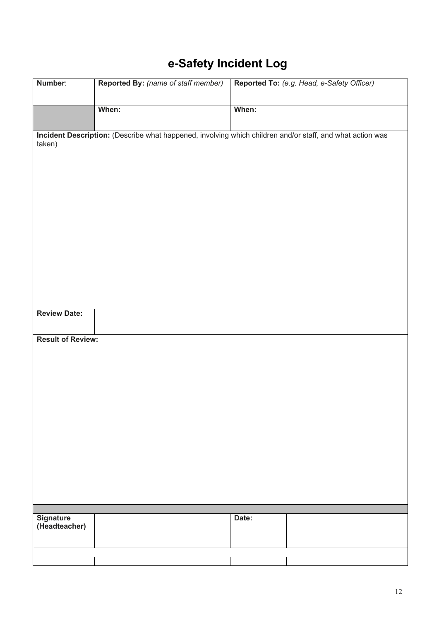# e-Safety Incident Log

| Number:                  | <b>Reported By:</b> (name of staff member) | Reported To: (e.g. Head, e-Safety Officer)                                                                |
|--------------------------|--------------------------------------------|-----------------------------------------------------------------------------------------------------------|
|                          |                                            |                                                                                                           |
|                          | When:                                      | When:                                                                                                     |
|                          |                                            |                                                                                                           |
| taken)                   |                                            | Incident Description: (Describe what happened, involving which children and/or staff, and what action was |
|                          |                                            |                                                                                                           |
|                          |                                            |                                                                                                           |
|                          |                                            |                                                                                                           |
|                          |                                            |                                                                                                           |
|                          |                                            |                                                                                                           |
|                          |                                            |                                                                                                           |
|                          |                                            |                                                                                                           |
|                          |                                            |                                                                                                           |
|                          |                                            |                                                                                                           |
|                          |                                            |                                                                                                           |
|                          |                                            |                                                                                                           |
|                          |                                            |                                                                                                           |
| <b>Review Date:</b>      |                                            |                                                                                                           |
|                          |                                            |                                                                                                           |
| <b>Result of Review:</b> |                                            |                                                                                                           |
|                          |                                            |                                                                                                           |
|                          |                                            |                                                                                                           |
|                          |                                            |                                                                                                           |
|                          |                                            |                                                                                                           |
|                          |                                            |                                                                                                           |
|                          |                                            |                                                                                                           |
|                          |                                            |                                                                                                           |
|                          |                                            |                                                                                                           |
|                          |                                            |                                                                                                           |
|                          |                                            |                                                                                                           |
|                          |                                            |                                                                                                           |
|                          |                                            |                                                                                                           |
| <b>Signature</b>         |                                            | Date:                                                                                                     |
| (Headteacher)            |                                            |                                                                                                           |
|                          |                                            |                                                                                                           |
|                          |                                            |                                                                                                           |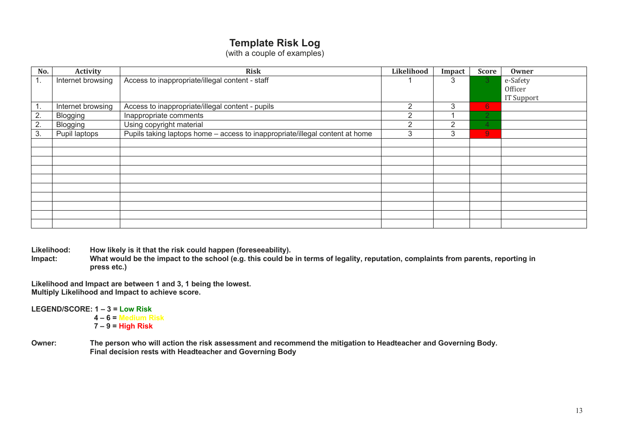### **Template Risk Log**

(with a couple of examples)

| No.            | <b>Activity</b>   | <b>Risk</b>                                                                  | Likelihood | Impact | <b>Score</b>   | Owner      |
|----------------|-------------------|------------------------------------------------------------------------------|------------|--------|----------------|------------|
| $\mathbf{1}$ . | Internet browsing | Access to inappropriate/illegal content - staff                              |            |        |                | e-Safety   |
|                |                   |                                                                              |            |        |                | Officer    |
|                |                   |                                                                              |            |        |                | IT Support |
| $\mathbf{1}$ . | Internet browsing | Access to inappropriate/illegal content - pupils                             | 2          | 3      | 6 <sup>1</sup> |            |
| 2.             | <b>Blogging</b>   | Inappropriate comments                                                       | 2          |        | $\overline{2}$ |            |
| 2.             | <b>Blogging</b>   | Using copyright material                                                     |            | c      | Δ              |            |
| 3.             | Pupil laptops     | Pupils taking laptops home - access to inappropriate/illegal content at home | 3          | 3      | $\overline{9}$ |            |
|                |                   |                                                                              |            |        |                |            |
|                |                   |                                                                              |            |        |                |            |
|                |                   |                                                                              |            |        |                |            |
|                |                   |                                                                              |            |        |                |            |
|                |                   |                                                                              |            |        |                |            |
|                |                   |                                                                              |            |        |                |            |
|                |                   |                                                                              |            |        |                |            |
|                |                   |                                                                              |            |        |                |            |
|                |                   |                                                                              |            |        |                |            |
|                |                   |                                                                              |            |        |                |            |

Likelihood: How likely is it that the risk could happen (foreseeability).<br>Impact: What would be the impact to the school (e.g. this could be

**Impact: What would be the impact to the school (e.g. this could be in terms of legality, reputation, complaints from parents, reporting in press etc.)**

**Likelihood and Impact are between 1 and 3, 1 being the lowest. Multiply Likelihood and Impact to achieve score.**

**LEGEND/SCORE: 1 – 3 = Low Risk**

- **4 – 6 = Medium Risk 7 – 9 = High Risk**
- **Owner: The person who will action the risk assessment and recommend the mitigation to Headteacher and Governing Body. Final decision rests with Headteacher and Governing Body**